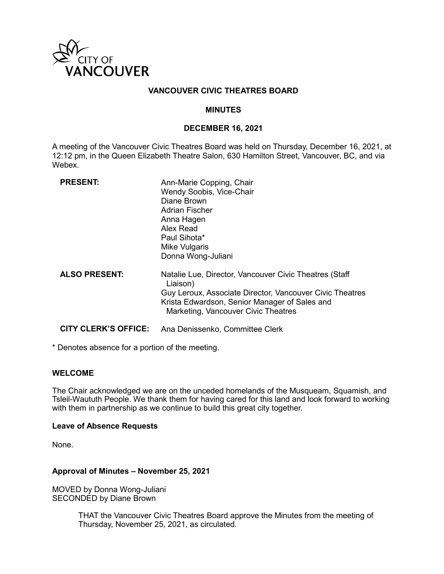

#### **VANCOUVER CIVIC THEATRES BOARD**

#### **MINUTES**

#### **DECEMBER 16, 2021**

A meeting of the Vancouver Civic Theatres Board was held on Thursday, December 16, 2021, at 12:12 pm, in the Queen Elizabeth Theatre Salon, 630 Hamilton Street, Vancouver, BC, and via Webex.

| <b>PRESENT:</b>             | Ann-Marie Copping, Chair<br>Wendy Soobis, Vice-Chair<br>Diane Brown<br><b>Adrian Fischer</b><br>Anna Hagen<br>Alex Read<br>Paul Sihota*<br><b>Mike Vulgaris</b><br>Donna Wong-Juliani                                  |
|-----------------------------|------------------------------------------------------------------------------------------------------------------------------------------------------------------------------------------------------------------------|
| <b>ALSO PRESENT:</b>        | Natalie Lue, Director, Vancouver Civic Theatres (Staff<br>Liaison)<br>Guy Leroux, Associate Director, Vancouver Civic Theatres<br>Krista Edwardson, Senior Manager of Sales and<br>Marketing, Vancouver Civic Theatres |
| <b>CITY CLERK'S OFFICE:</b> | Ana Denissenko, Committee Clerk                                                                                                                                                                                        |

\* Denotes absence for a portion of the meeting.

#### **WELCOME**

The Chair acknowledged we are on the unceded homelands of the Musqueam, Squamish, and Tsleil-Waututh People. We thank them for having cared for this land and look forward to working with them in partnership as we continue to build this great city together.

#### **Leave of Absence Requests**

None.

#### **Approval of Minutes – November 25, 2021**

MOVED by Donna Wong-Juliani SECONDED by Diane Brown

> THAT the Vancouver Civic Theatres Board approve the Minutes from the meeting of Thursday, November 25, 2021, as circulated.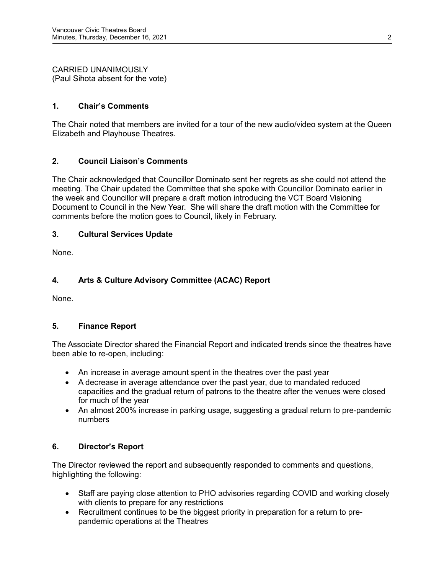CARRIED UNANIMOUSLY (Paul Sihota absent for the vote)

## **1. Chair's Comments**

The Chair noted that members are invited for a tour of the new audio/video system at the Queen Elizabeth and Playhouse Theatres.

# **2. Council Liaison's Comments**

The Chair acknowledged that Councillor Dominato sent her regrets as she could not attend the meeting. The Chair updated the Committee that she spoke with Councillor Dominato earlier in the week and Councillor will prepare a draft motion introducing the VCT Board Visioning Document to Council in the New Year. She will share the draft motion with the Committee for comments before the motion goes to Council, likely in February.

## **3. Cultural Services Update**

None.

# **4. Arts & Culture Advisory Committee (ACAC) Report**

None.

## **5. Finance Report**

The Associate Director shared the Financial Report and indicated trends since the theatres have been able to re-open, including:

- An increase in average amount spent in the theatres over the past year
- A decrease in average attendance over the past year, due to mandated reduced capacities and the gradual return of patrons to the theatre after the venues were closed for much of the year
- An almost 200% increase in parking usage, suggesting a gradual return to pre-pandemic numbers

## **6. Director's Report**

The Director reviewed the report and subsequently responded to comments and questions, highlighting the following:

- Staff are paying close attention to PHO advisories regarding COVID and working closely with clients to prepare for any restrictions
- Recruitment continues to be the biggest priority in preparation for a return to prepandemic operations at the Theatres